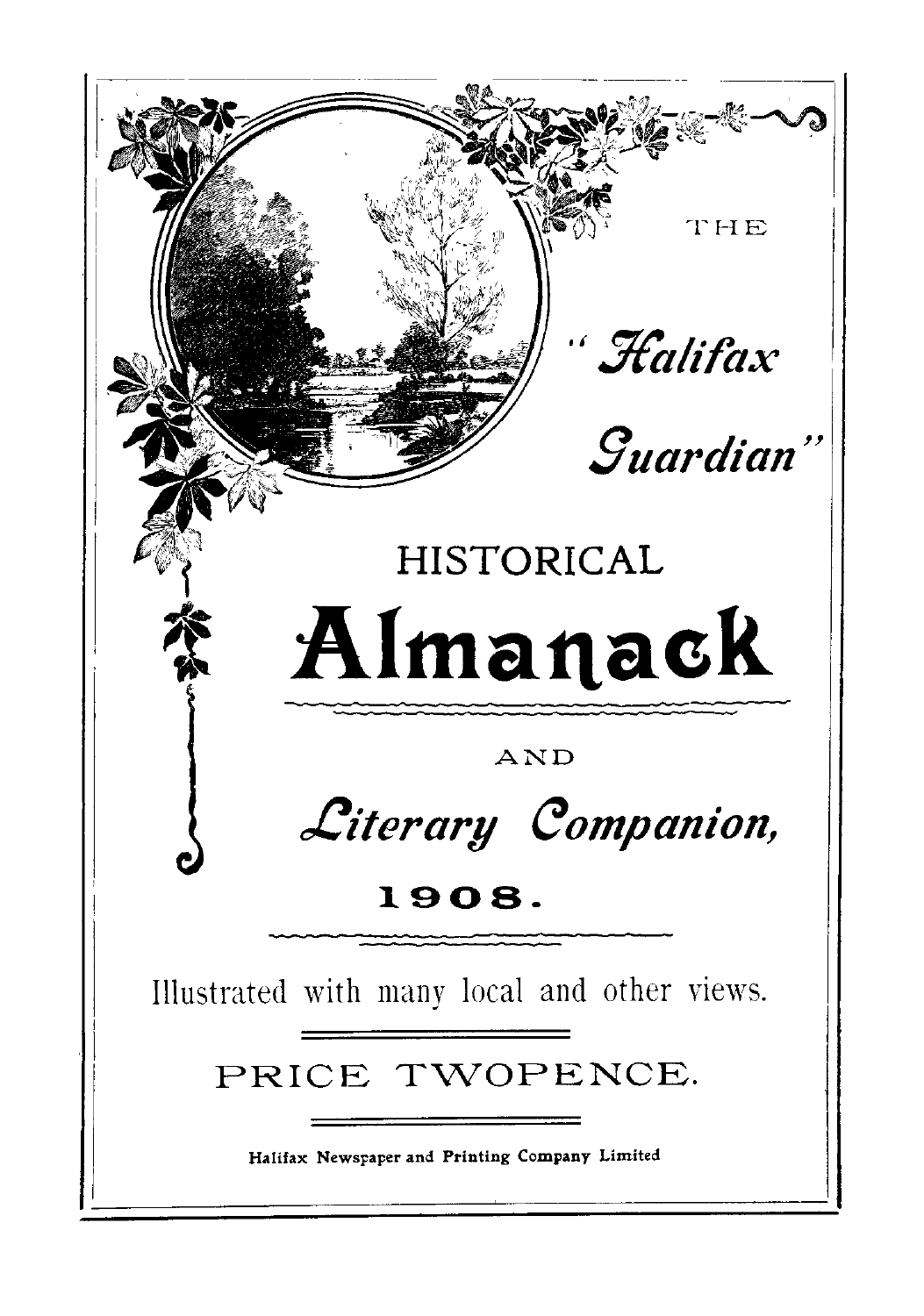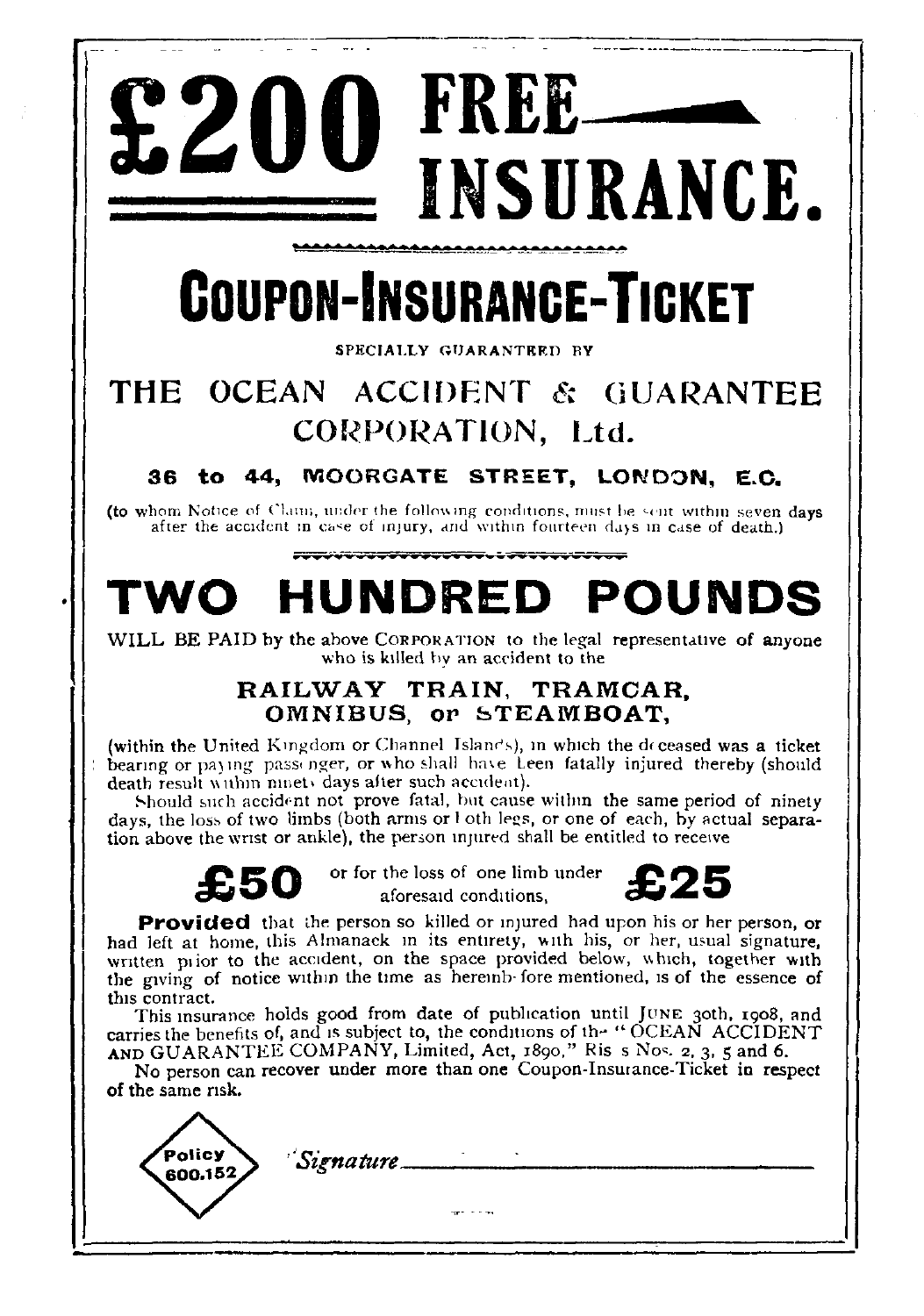# **£200 FREE-INSURANCE .**

# **COUPON-INSURANCE-TICKET**

#### **SPECIALLY GUARANTEED BY**

### THE OCEAN ACCIDENT & GUARANTEE CORPORATION, Ltd.

#### **36 to 44, MOORGATE STREET, LONDON, E.C .**

(to whom Notice of Claim, under the following conditions, must be sent within seven days after the accident in case of injury, and within fourteen days in case of death.)

## **TWO HUNDRED POUNDS**

WILL BE PAID by the above CORPORATION to the legal representative of anyone who is killed by an accident to the

#### **RAILWAY TRAIN, TRAMCAR, OMNIBUS, or STEAMBOAT ,**

(within the United Kingdom or Channel Islands), in which the deceased was a ticket bearing or paying passenger, or who shall have Leen fatally injured thereby (should death result within ninety days after such accident).

Should such accident not prove fatal, but cause within the same period of ninety days, the loss of two limbs (both arms or l oth legs, or one of each, by actual separation above the wrist or ankle), the person injured shall be entitled to receive



*£ 50 or for the loss of one limb unde r £* aforesaid conditions.



**Provided** that the person so killed or injured had upon his or her person, or had left at home, this Almanack in its entirety, with his, or her, usual signature, **written** prior to the accident, on the space provided below, which, together with the giving of notice within the time as hereinb fore mentioned, is of the essence of **this contract.**

This insurance holds good from date of publication until JUNE 30th, 1908, and carries the benefits of, and is subject to, the conditions of the "OCEAN ACCIDENT" AND GUARANTEE COMPANY, Limited, Act, 1890," Ris s Nos. 2, 3, 5 and 6.

No person can recover under more than one Coupon-Insurance-Ticket in respect of the same risk .

.<br>Policy *'Signature'*600.152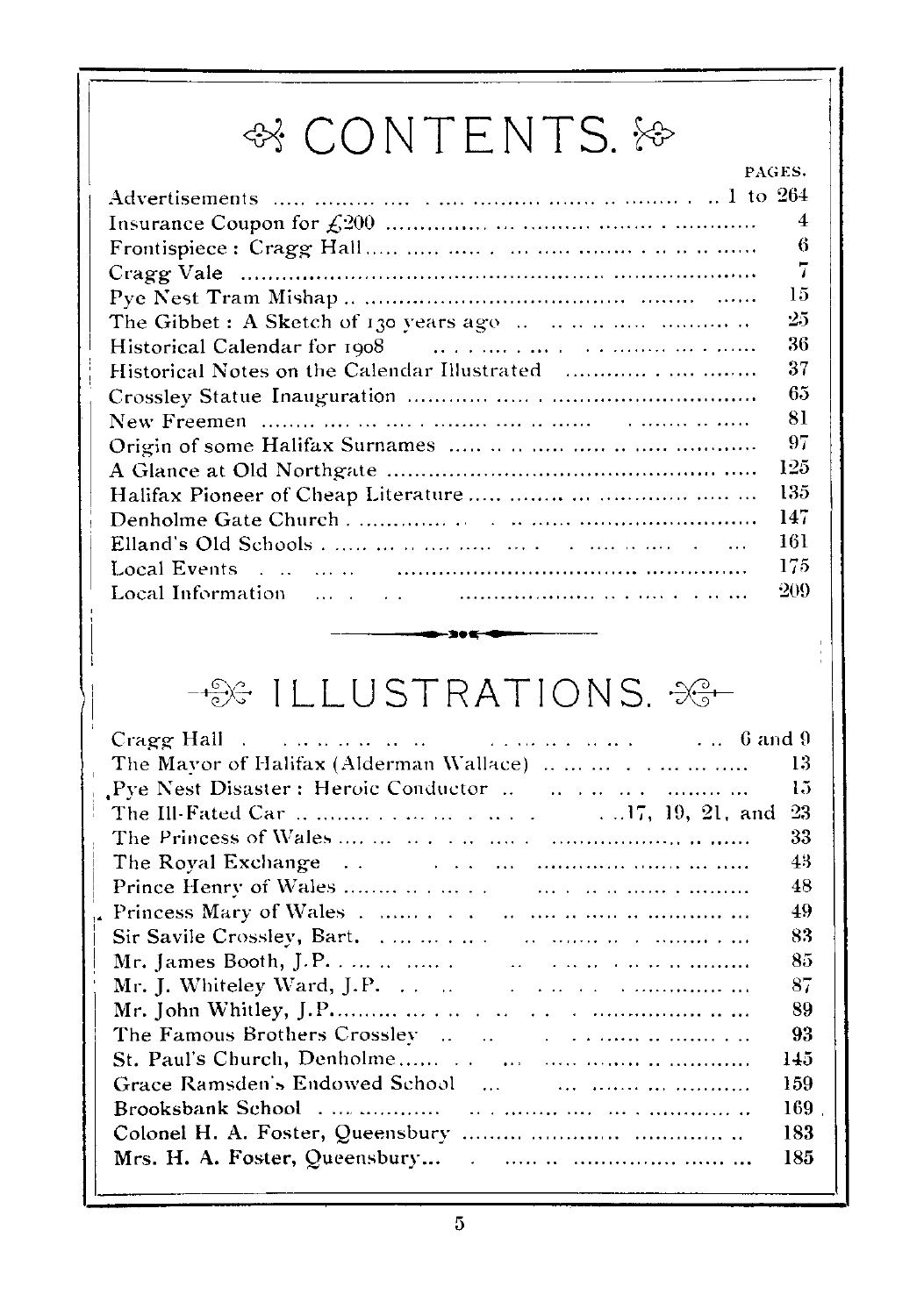## <sup><sup>o</sup> CONTENTS. ⊱</sup>

|                                                                                                                                     | PAGES. |
|-------------------------------------------------------------------------------------------------------------------------------------|--------|
| Advertisements $\ldots$ $\ldots$ $\ldots$ $\ldots$ $\ldots$ $\ldots$ $\ldots$ $\ldots$ $\ldots$ $\ldots$ $\ldots$ $\ldots$ 1 to 264 |        |
|                                                                                                                                     | 4      |
|                                                                                                                                     | 6      |
|                                                                                                                                     | 7      |
|                                                                                                                                     | 15     |
|                                                                                                                                     | -25    |
|                                                                                                                                     | 36     |
|                                                                                                                                     | 37     |
|                                                                                                                                     | 65     |
|                                                                                                                                     | 81     |
|                                                                                                                                     | -97    |
|                                                                                                                                     | 125    |
| Halifax Pioneer of Cheap Literature                                                                                                 | 135    |
|                                                                                                                                     | 147    |
|                                                                                                                                     | 161    |
|                                                                                                                                     | 175    |
|                                                                                                                                     | -209   |

## -SGILLUSTRATIONS. 3G

a•

| Cragg Hall $\ldots$ and $\ldots$ are a set of $\ldots$ and $\ldots$ and $\ldots$ 6 and 9  |     |
|-------------------------------------------------------------------------------------------|-----|
|                                                                                           | 13  |
|                                                                                           | 1.5 |
|                                                                                           | 23  |
|                                                                                           | 33  |
|                                                                                           | 43  |
|                                                                                           | 48  |
|                                                                                           | 49  |
|                                                                                           | 83  |
|                                                                                           | 85  |
| Mr. J. Whiteley Ward, J.P. $\ldots$ $\ldots$ $\ldots$ $\ldots$ $\ldots$ $\ldots$ $\ldots$ | 87  |
|                                                                                           | 89  |
|                                                                                           | 93  |
|                                                                                           | 145 |
|                                                                                           | 159 |
|                                                                                           | 169 |
|                                                                                           | 183 |
|                                                                                           | 185 |
|                                                                                           |     |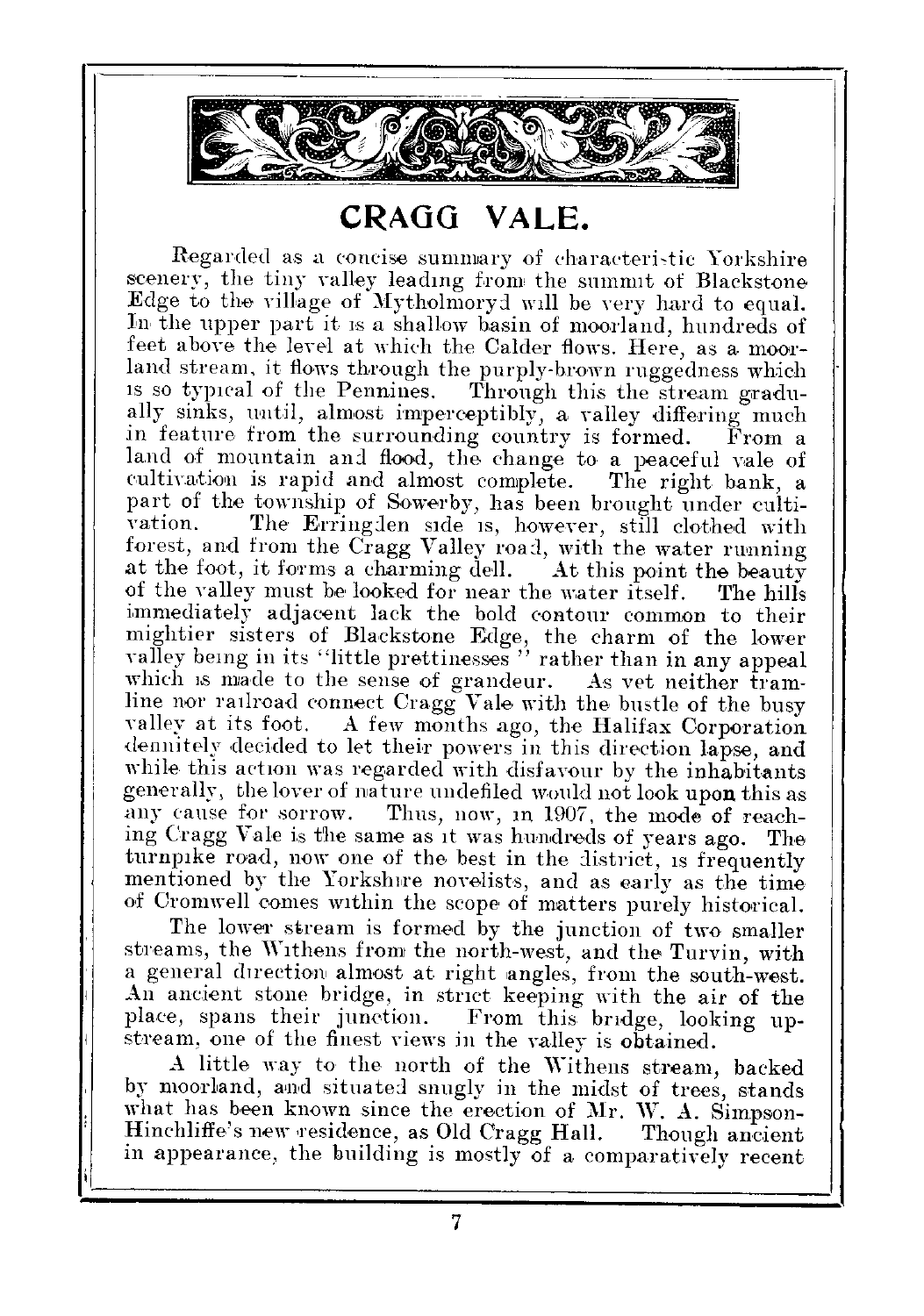

#### CRAGG VALE.

Regarded as a concise summary of characteristic Yorkshire scenery, the tiny valley leading from the summit of Blackstone Edge to the village of Mytholmoryd will be very hard to equal. In the upper part it is a shallow basin of moorland, hundreds of feet above the level at which the Calder flows. Here, as a moorland stream, it flows through the purply-brown ruggedness which is so typical of the Pennines. Through this the stream gradu-Through this the stream gradually sinks, until, almost imperceptibly, a valley differing much in feature from the surrounding country is formed. From a land of mountain and flood, the change to a peaceful vale of cultivation is rapid and almost complete. The right bank, a cultivation is rapid and almost complete. part of the township of Sowerby, has been brought under culti-<br>vation. The Erringden side is, however, still clothed with The Erringden side is, however, still clothed with forest, and from the Cragg Valley road, with the water running<br>at the foot, it forms a charming dell. At this point the beauty at the foot, it forms a charming dell. At this point the beauty of the valley must be looked for near the water itself. The hills of the valley must be looked for near the water itself. immediately adjacent lack the bold contour common to their mightier sisters of Blackstone Edge, the charm of the lowe r valley being in its "little prettinesses " rather than in any appeal which is made to the sense of grandeur. As vet neither tramline nor railroad connect  $Cragg$  Vale with the bustle of the busy valley at its foot. A few months ago, the Halifax Corporation A few months ago, the Halifax Corporation dennitely decided to let their powers in this direction lapse, and while this action was regarded with disfavour by the inhabitants generally, the lover of nature undefiled would not look upon this as<br>any cause for sorrow. Thus, now, in 1907, the mode of reach-Thus, now, in 1907, the mode of reaching Cragg Vale is the same as it was hundreds of years ago . The turnpike road, now one of the best in the district, is frequently mentioned by the Yorkshire novelists, and as early as the time of Cromwell comes within the scope of matters purely historical.

The lower stream is formed by the junction of two smaller streams, the Withens from the north-west, and the Turvin, with a general direction almost at right angles, from the south-west. An ancient stone bridge, in strict keeping with the air of the place, spans their junction. From this bridge, looking upstream, one of the finest views in the valley is obtained.

A little way to the north of the Withens stream, backed by moorland, and situated snugly in the midst of trees, stands what has been known since the erection of Mr. W. A. Simpson-Hinchliffe's new residence, as Old Cragg Hall. Though ancient Hinchliffe's new residence, as Old Cragg Hall. in appearance, the building is mostly of a comparatively recent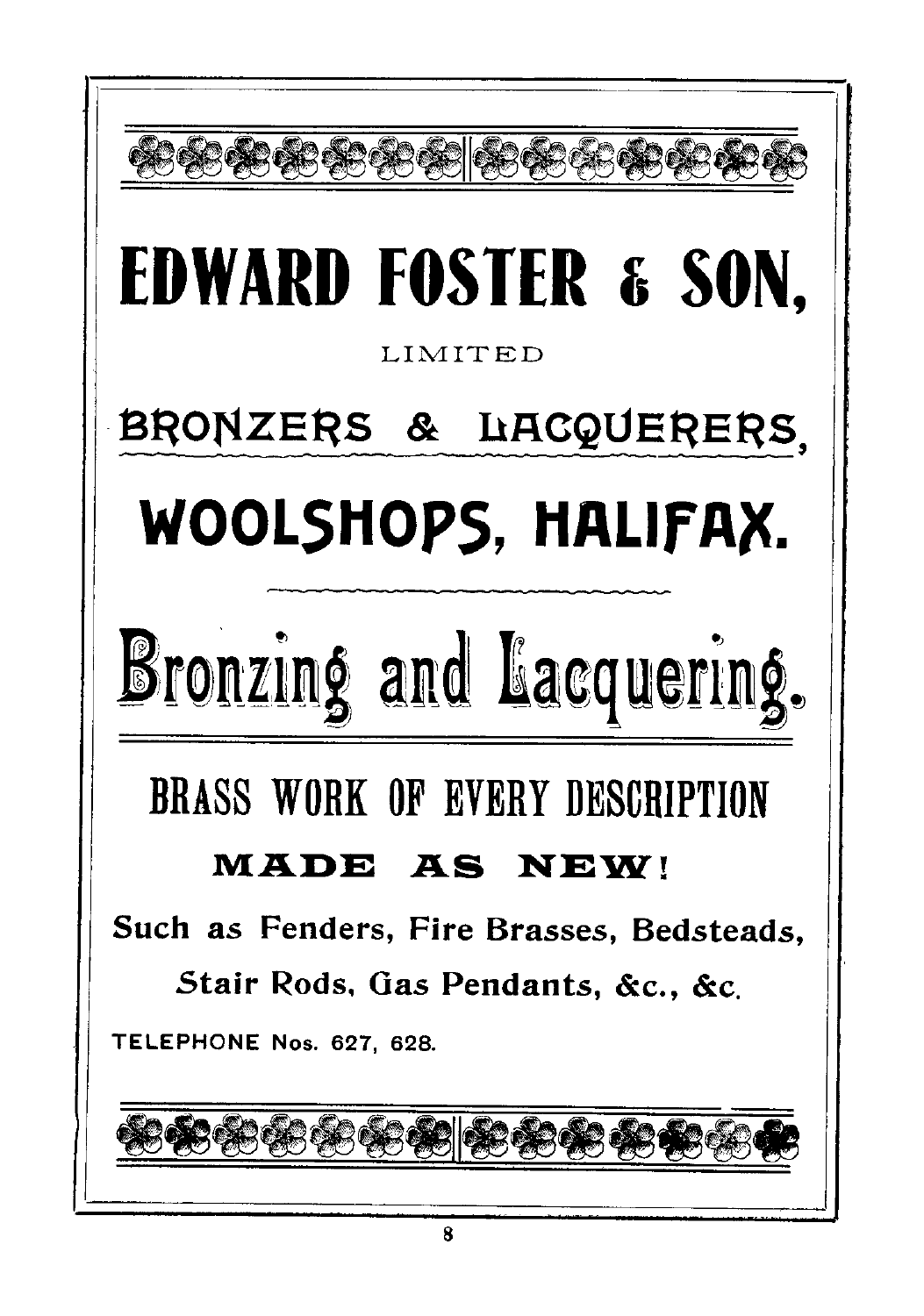